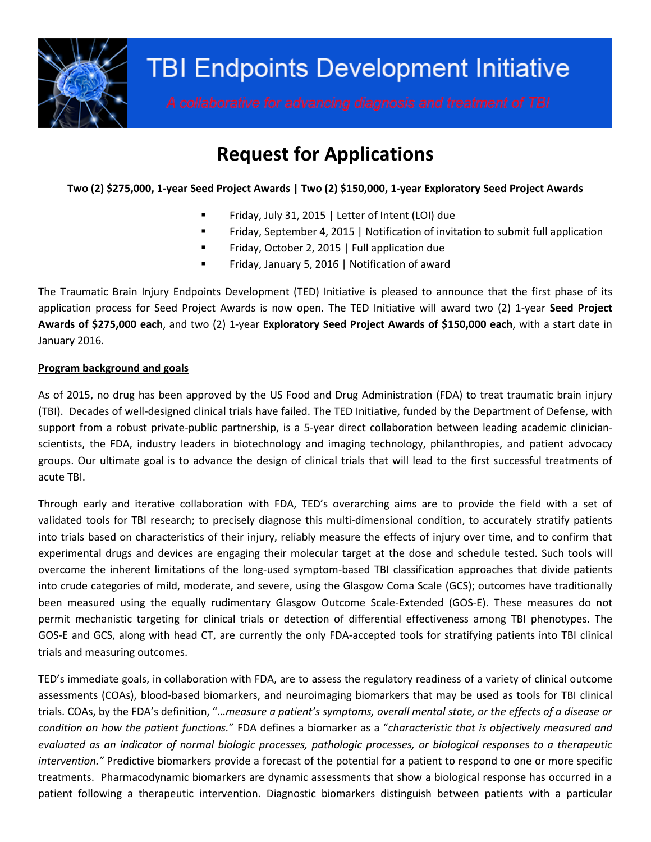

# **Request for Applications**

## **Two (2) \$275,000, 1-year Seed Project Awards | Two (2) \$150,000, 1-year Exploratory Seed Project Awards**

- Friday, July 31, 2015 | Letter of Intent (LOI) due
- **FRIMALE 1** Friday, September 4, 2015 | Notification of invitation to submit full application
- **Firmally, October 2, 2015 | Full application due**
- Friday, January 5, 2016 | Notification of award

The Traumatic Brain Injury Endpoints Development (TED) Initiative is pleased to announce that the first phase of its application process for Seed Project Awards is now open. The TED Initiative will award two (2) 1-year **Seed Project Awards of \$275,000 each**, and two (2) 1-year **Exploratory Seed Project Awards of \$150,000 each**, with a start date in January 2016.

#### **Program background and goals**

As of 2015, no drug has been approved by the US Food and Drug Administration (FDA) to treat traumatic brain injury (TBI). Decades of well-designed clinical trials have failed. The TED Initiative, funded by the Department of Defense, with support from a robust private-public partnership, is a 5-year direct collaboration between leading academic clinicianscientists, the FDA, industry leaders in biotechnology and imaging technology, philanthropies, and patient advocacy groups. Our ultimate goal is to advance the design of clinical trials that will lead to the first successful treatments of acute TBI.

Through early and iterative collaboration with FDA, TED's overarching aims are to provide the field with a set of validated tools for TBI research; to precisely diagnose this multi-dimensional condition, to accurately stratify patients into trials based on characteristics of their injury, reliably measure the effects of injury over time, and to confirm that experimental drugs and devices are engaging their molecular target at the dose and schedule tested. Such tools will overcome the inherent limitations of the long-used symptom-based TBI classification approaches that divide patients into crude categories of mild, moderate, and severe, using the Glasgow Coma Scale (GCS); outcomes have traditionally been measured using the equally rudimentary Glasgow Outcome Scale-Extended (GOS-E). These measures do not permit mechanistic targeting for clinical trials or detection of differential effectiveness among TBI phenotypes. The GOS-E and GCS, along with head CT, are currently the only FDA-accepted tools for stratifying patients into TBI clinical trials and measuring outcomes.

TED's immediate goals, in collaboration with FDA, are to assess the regulatory readiness of a variety of clinical outcome assessments (COAs), blood-based biomarkers, and neuroimaging biomarkers that may be used as tools for TBI clinical trials. COAs, by the FDA's definition, "…*measure a patient's symptoms, overall mental state, or the effects of a disease or condition on how the patient functions.*" FDA defines a biomarker as a "*characteristic that is objectively measured and evaluated as an indicator of normal biologic processes, pathologic processes, or biological responses to a therapeutic intervention."* Predictive biomarkers provide a forecast of the potential for a patient to respond to one or more specific treatments. Pharmacodynamic biomarkers are dynamic assessments that show a biological response has occurred in a patient following a therapeutic intervention. Diagnostic biomarkers distinguish between patients with a particular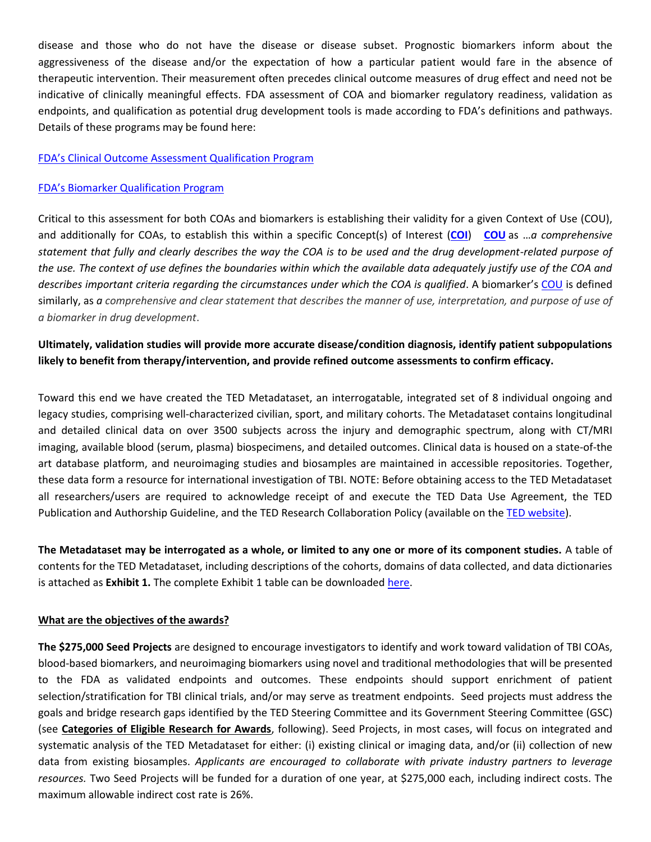disease and those who do not have the disease or disease subset. Prognostic biomarkers inform about the aggressiveness of the disease and/or the expectation of how a particular patient would fare in the absence of therapeutic intervention. Their measurement often precedes clinical outcome measures of drug effect and need not be indicative of clinically meaningful effects. FDA assessment of COA and biomarker regulatory readiness, validation as endpoints, and qualification as potential drug development tools is made according to FDA's definitions and pathways. Details of these programs may be found here:

#### FDA's [Clinical Outcome Assessment](http://www.fda.gov/Drugs/DevelopmentApprovalProcess/DrugDevelopmentToolsQualificationProgram/ucm284077.htm) Qualification Program

#### FDA's Biomarker [Qualification Program](http://www.fda.gov/drugs/developmentapprovalprocess/drugdevelopmenttoolsqualificationprogram/ucm284076.htm)

Critical to this assessment for both COAs and biomarkers is establishing their validity for a given Context of Use (COU), and additionally for COAs, to establish this within a specific Concept(s) of Interest (**[COI](http://www.fda.gov/Drugs/DevelopmentApprovalProcess/DrugDevelopmentToolsQualificationProgram/ucm370262.htm#COI)**) **[COU](http://www.fda.gov/Drugs/DevelopmentApprovalProcess/DrugDevelopmentToolsQualificationProgram/ucm370262.htm#COU)** as …*a comprehensive statement that fully and clearly describes the way the COA is to be used and the drug development-related purpose of the use. The context of use defines the boundaries within which the available data adequately justify use of the COA and describes important criteria regarding the circumstances under which the COA is qualified*. A biomarker's [COU](http://www.fda.gov/Drugs/DevelopmentApprovalProcess/DrugDevelopmentToolsQualificationProgram/ucm284620.htm) is defined similarly, as *a comprehensive and clear statement that describes the manner of use, interpretation, and purpose of use of a biomarker in drug development*.

# **Ultimately, validation studies will provide more accurate disease/condition diagnosis, identify patient subpopulations likely to benefit from therapy/intervention, and provide refined outcome assessments to confirm efficacy.**

Toward this end we have created the TED Metadataset, an interrogatable, integrated set of 8 individual ongoing and legacy studies, comprising well-characterized civilian, sport, and military cohorts. The Metadataset contains longitudinal and detailed clinical data on over 3500 subjects across the injury and demographic spectrum, along with CT/MRI imaging, available blood (serum, plasma) biospecimens, and detailed outcomes. Clinical data is housed on a state-of-the art database platform, and neuroimaging studies and biosamples are maintained in accessible repositories. Together, these data form a resource for international investigation of TBI. NOTE: Before obtaining access to the TED Metadataset all researchers/users are required to acknowledge receipt of and execute the TED Data Use Agreement, the TED Publication and Authorship Guideline, and the TED Research Collaboration Policy (available on th[e TED website\)](https://tbiendpoints.ucsf.edu/researchers).

**The Metadataset may be interrogated as a whole, or limited to any one or more of its component studies.** A table of contents for the TED Metadataset, including descriptions of the cohorts, domains of data collected, and data dictionaries is attached as **Exhibit 1.** The complete Exhibit 1 table can be downloade[d here.](file://sfgh02/Shared$/vol01/NeuroSurgery/1-Manley_Research_Projects/1%20DOD%20TED%20Grant/Seed%20Projects/FINAL%20RFA%20DOCUMENTS/TED%20Metadataset%20TOC_Final_06-25-2015.xlsx)

#### **What are the objectives of the awards?**

**The \$275,000 Seed Projects** are designed to encourage investigators to identify and work toward validation of TBI COAs, blood-based biomarkers, and neuroimaging biomarkers using novel and traditional methodologies that will be presented to the FDA as validated endpoints and outcomes. These endpoints should support enrichment of patient selection/stratification for TBI clinical trials, and/or may serve as treatment endpoints. Seed projects must address the goals and bridge research gaps identified by the TED Steering Committee and its Government Steering Committee (GSC) (see **Categories of Eligible Research for Awards**, following). Seed Projects, in most cases, will focus on integrated and systematic analysis of the TED Metadataset for either: (i) existing clinical or imaging data, and/or (ii) collection of new data from existing biosamples. *Applicants are encouraged to collaborate with private industry partners to leverage resources.* Two Seed Projects will be funded for a duration of one year, at \$275,000 each, including indirect costs. The maximum allowable indirect cost rate is 26%.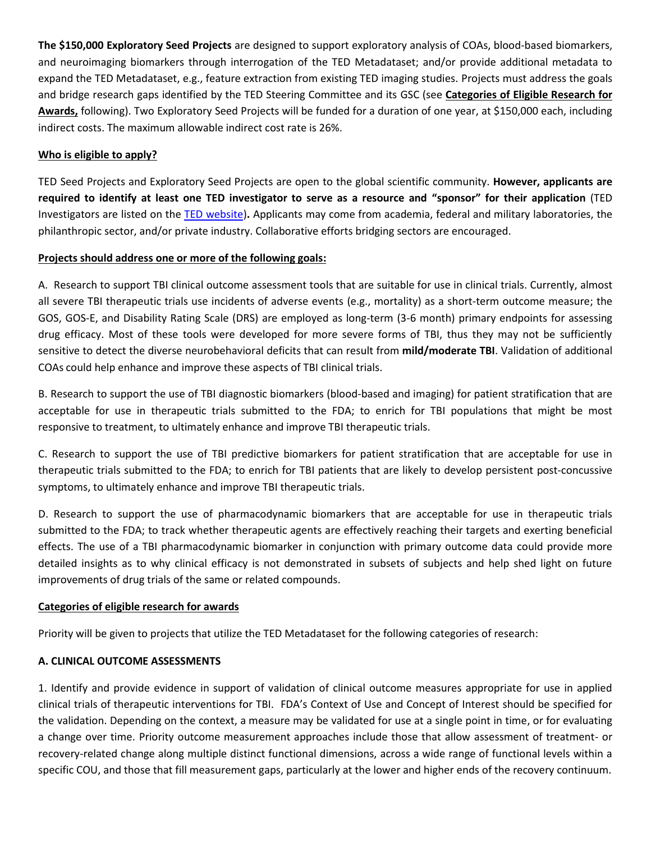**The \$150,000 Exploratory Seed Projects** are designed to support exploratory analysis of COAs, blood-based biomarkers, and neuroimaging biomarkers through interrogation of the TED Metadataset; and/or provide additional metadata to expand the TED Metadataset, e.g., feature extraction from existing TED imaging studies. Projects must address the goals and bridge research gaps identified by the TED Steering Committee and its GSC (see **Categories of Eligible Research for Awards,** following). Two Exploratory Seed Projects will be funded for a duration of one year, at \$150,000 each, including indirect costs. The maximum allowable indirect cost rate is 26%.

# **Who is eligible to apply?**

TED Seed Projects and Exploratory Seed Projects are open to the global scientific community. **However, applicants are required to identify at least one TED investigator to serve as a resource and "sponsor" for their application** (TED Investigators are listed on the [TED website\)](https://tbiendpoints.ucsf.edu/leadership)**.** Applicants may come from academia, federal and military laboratories, the philanthropic sector, and/or private industry. Collaborative efforts bridging sectors are encouraged.

#### **Projects should address one or more of the following goals:**

A. Research to support TBI clinical outcome assessment tools that are suitable for use in clinical trials. Currently, almost all severe TBI therapeutic trials use incidents of adverse events (e.g., mortality) as a short-term outcome measure; the GOS, GOS-E, and Disability Rating Scale (DRS) are employed as long-term (3-6 month) primary endpoints for assessing drug efficacy. Most of these tools were developed for more severe forms of TBI, thus they may not be sufficiently sensitive to detect the diverse neurobehavioral deficits that can result from **mild/moderate TBI**. Validation of additional COAs could help enhance and improve these aspects of TBI clinical trials.

B. Research to support the use of TBI diagnostic biomarkers (blood-based and imaging) for patient stratification that are acceptable for use in therapeutic trials submitted to the FDA; to enrich for TBI populations that might be most responsive to treatment, to ultimately enhance and improve TBI therapeutic trials.

C. Research to support the use of TBI predictive biomarkers for patient stratification that are acceptable for use in therapeutic trials submitted to the FDA; to enrich for TBI patients that are likely to develop persistent post-concussive symptoms, to ultimately enhance and improve TBI therapeutic trials.

D. Research to support the use of pharmacodynamic biomarkers that are acceptable for use in therapeutic trials submitted to the FDA; to track whether therapeutic agents are effectively reaching their targets and exerting beneficial effects. The use of a TBI pharmacodynamic biomarker in conjunction with primary outcome data could provide more detailed insights as to why clinical efficacy is not demonstrated in subsets of subjects and help shed light on future improvements of drug trials of the same or related compounds.

#### **Categories of eligible research for awards**

Priority will be given to projects that utilize the TED Metadataset for the following categories of research:

#### **A. CLINICAL OUTCOME ASSESSMENTS**

1. Identify and provide evidence in support of validation of clinical outcome measures appropriate for use in applied clinical trials of therapeutic interventions for TBI. FDA's Context of Use and Concept of Interest should be specified for the validation. Depending on the context, a measure may be validated for use at a single point in time, or for evaluating a change over time. Priority outcome measurement approaches include those that allow assessment of treatment- or recovery-related change along multiple distinct functional dimensions, across a wide range of functional levels within a specific COU, and those that fill measurement gaps, particularly at the lower and higher ends of the recovery continuum.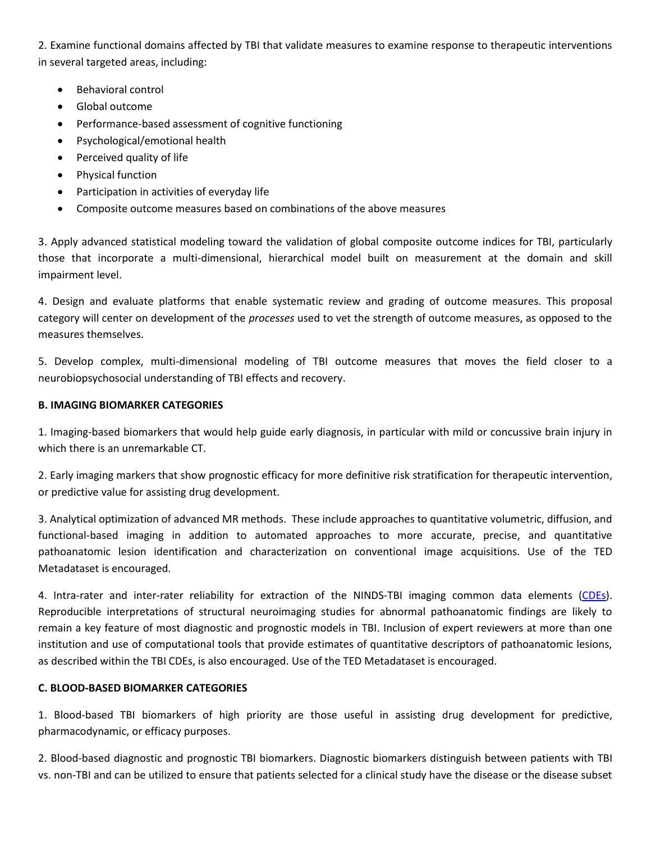2. Examine functional domains affected by TBI that validate measures to examine response to therapeutic interventions in several targeted areas, including:

- Behavioral control
- Global outcome
- Performance-based assessment of cognitive functioning
- Psychological/emotional health
- Perceived quality of life
- Physical function
- Participation in activities of everyday life
- Composite outcome measures based on combinations of the above measures

3. Apply advanced statistical modeling toward the validation of global composite outcome indices for TBI, particularly those that incorporate a multi-dimensional, hierarchical model built on measurement at the domain and skill impairment level.

4. Design and evaluate platforms that enable systematic review and grading of outcome measures. This proposal category will center on development of the *processes* used to vet the strength of outcome measures, as opposed to the measures themselves.

5. Develop complex, multi-dimensional modeling of TBI outcome measures that moves the field closer to a neurobiopsychosocial understanding of TBI effects and recovery.

### **B. IMAGING BIOMARKER CATEGORIES**

1. Imaging-based biomarkers that would help guide early diagnosis, in particular with mild or concussive brain injury in which there is an unremarkable CT.

2. Early imaging markers that show prognostic efficacy for more definitive risk stratification for therapeutic intervention, or predictive value for assisting drug development.

3. Analytical optimization of advanced MR methods. These include approaches to quantitative volumetric, diffusion, and functional-based imaging in addition to automated approaches to more accurate, precise, and quantitative pathoanatomic lesion identification and characterization on conventional image acquisitions. Use of the TED Metadataset is encouraged.

4. Intra-rater and inter-rater reliability for extraction of the NINDS-TBI imaging common data elements [\(CDEs\)](http://www.commondataelements.ninds.nih.gov/tbi.aspx#tab=Data_Standards). Reproducible interpretations of structural neuroimaging studies for abnormal pathoanatomic findings are likely to remain a key feature of most diagnostic and prognostic models in TBI. Inclusion of expert reviewers at more than one institution and use of computational tools that provide estimates of quantitative descriptors of pathoanatomic lesions, as described within the TBI CDEs, is also encouraged. Use of the TED Metadataset is encouraged.

#### **C. BLOOD-BASED BIOMARKER CATEGORIES**

1. Blood-based TBI biomarkers of high priority are those useful in assisting drug development for predictive, pharmacodynamic, or efficacy purposes.

2. Blood-based diagnostic and prognostic TBI biomarkers. Diagnostic biomarkers distinguish between patients with TBI vs. non-TBI and can be utilized to ensure that patients selected for a clinical study have the disease or the disease subset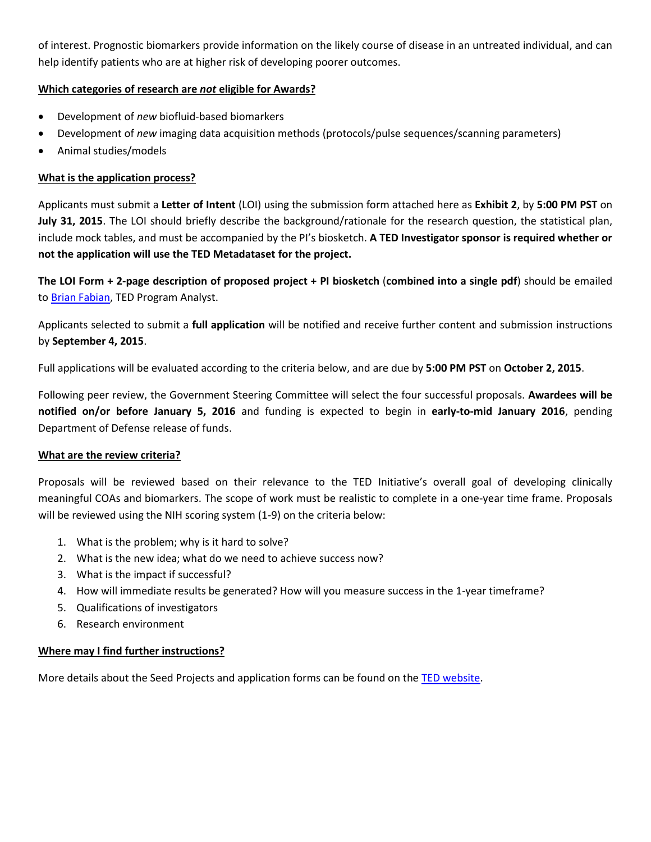of interest. Prognostic biomarkers provide information on the likely course of disease in an untreated individual, and can help identify patients who are at higher risk of developing poorer outcomes.

## **Which categories of research are** *not* **eligible for Awards?**

- Development of *new* biofluid-based biomarkers
- Development of *new* imaging data acquisition methods (protocols/pulse sequences/scanning parameters)
- Animal studies/models

## **What is the application process?**

Applicants must submit a **Letter of Intent** (LOI) using the submission form attached here as **Exhibit 2**, by **5:00 PM PST** on **July 31, 2015**. The LOI should briefly describe the background/rationale for the research question, the statistical plan, include mock tables, and must be accompanied by the PI's biosketch. **A TED Investigator sponsor is required whether or not the application will use the TED Metadataset for the project.** 

**The LOI Form + 2-page description of proposed project + PI biosketch** (**combined into a single pdf**) should be emailed to [Brian Fabian,](mailto:brian.fabian@ucsf.edu?subject=TED%20LOI%20Submission) TED Program Analyst.

Applicants selected to submit a **full application** will be notified and receive further content and submission instructions by **September 4, 2015**.

Full applications will be evaluated according to the criteria below, and are due by **5:00 PM PST** on **October 2, 2015**.

Following peer review, the Government Steering Committee will select the four successful proposals. **Awardees will be notified on/or before January 5, 2016** and funding is expected to begin in **early-to-mid January 2016**, pending Department of Defense release of funds.

# **What are the review criteria?**

Proposals will be reviewed based on their relevance to the TED Initiative's overall goal of developing clinically meaningful COAs and biomarkers. The scope of work must be realistic to complete in a one-year time frame. Proposals will be reviewed using the NIH scoring system (1-9) on the criteria below:

- 1. What is the problem; why is it hard to solve?
- 2. What is the new idea; what do we need to achieve success now?
- 3. What is the impact if successful?
- 4. How will immediate results be generated? How will you measure success in the 1-year timeframe?
- 5. Qualifications of investigators
- 6. Research environment

# **Where may I find further instructions?**

More details about the Seed Projects and application forms can be found on the [TED website.](https://tbiendpoints.ucsf.edu/seed-projects)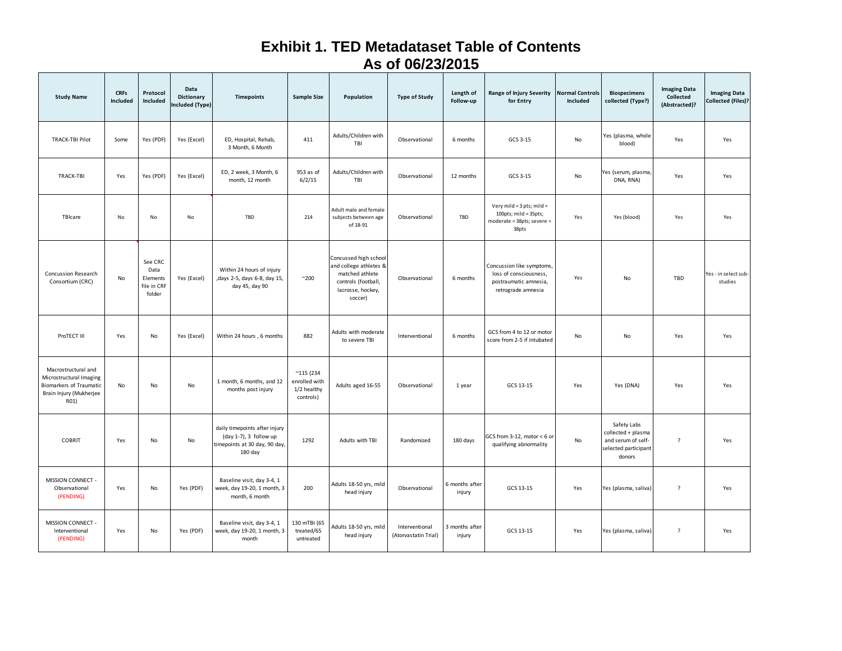# **Exhibit 1. TED Metadataset Table of Contents As of 06/23/2015**

| <b>Study Name</b>                                                                                            | <b>CRFs</b><br>Included | Protocol<br>Included                                 | Data<br>Dictionary<br>Included (Type) | Timepoints                                                                                          | <b>Sample Size</b>                                              | Population                                                                                                                | <b>Type of Study</b>                   | Length of<br>Follow-up   | <b>Range of Injury Severity</b><br>for Entry                                                       | <b>Normal Controls</b><br>Included | <b>Biospecimens</b><br>collected (Type?)                                                  | <b>Imaging Data</b><br>Collected<br>(Abstracted)? | <b>Imaging Data</b><br>Collected (Files)? |
|--------------------------------------------------------------------------------------------------------------|-------------------------|------------------------------------------------------|---------------------------------------|-----------------------------------------------------------------------------------------------------|-----------------------------------------------------------------|---------------------------------------------------------------------------------------------------------------------------|----------------------------------------|--------------------------|----------------------------------------------------------------------------------------------------|------------------------------------|-------------------------------------------------------------------------------------------|---------------------------------------------------|-------------------------------------------|
| <b>TRACK-TBI Pilot</b>                                                                                       | Some                    | Yes (PDF)                                            | Yes (Excel)                           | ED, Hospital, Rehab,<br>3 Month, 6 Month                                                            | 411                                                             | Adults/Children with<br>TBI                                                                                               | Observational                          | 6 months                 | GCS 3-15                                                                                           | No                                 | Yes (plasma, whole<br>blood)                                                              | Yes                                               | Yes                                       |
| TRACK-TBI                                                                                                    | Yes                     | Yes (PDF)                                            | Yes (Excel)                           | ED, 2 week, 3 Month, 6<br>month, 12 month                                                           | 953 as of<br>6/2/15                                             | Adults/Children with<br>TBI                                                                                               | Observational                          | 12 months                | GCS 3-15                                                                                           | No                                 | Yes (serum, plasma<br>DNA, RNA)                                                           | Yes                                               | Yes                                       |
| TBIcare                                                                                                      | No                      | No                                                   | No                                    | TBD                                                                                                 | 214                                                             | Adult male and female<br>subjects between age<br>of 18-91                                                                 | Observational                          | TBD                      | Very mild = 3 pts; mild =<br>100pts; mild = 35pts;<br>moderate = 38pts; severe =<br>38pts          | Yes                                | Yes (blood)                                                                               | Yes                                               | Yes                                       |
| Concussion Research<br>Consortium (CRC)                                                                      | No                      | See CRC<br>Data<br>Elements<br>file in CRF<br>folder | Yes (Excel)                           | Within 24 hours of injury<br>, days 2-5, days 6-8, day 15,<br>day 45, day 90                        | $^{\sim}200$                                                    | Concussed high school<br>and college athletes &<br>matched athlete<br>controls (football,<br>lacrosse, hockey,<br>soccer) | Observational                          | 6 months                 | Concussion like symptoms,<br>loss of consciousness,<br>postraumatic amnesia,<br>retrograde amnesia | Yes                                | No                                                                                        | TBD                                               | Yes - in select sub-<br>studies           |
| ProTECT III                                                                                                  | Yes                     | No                                                   | Yes (Excel)                           | Within 24 hours, 6 months                                                                           | 882                                                             | Adults with moderate<br>to severe TBI                                                                                     | Interventional                         | 6 months                 | GCS from 4 to 12 or motor<br>score from 2-5 if intubated                                           | No                                 | No                                                                                        | Yes                                               | Yes                                       |
| Macrostructural and<br>Microstructural Imaging<br>Biomarkers of Traumatic<br>Brain Injury (Mukherjee<br>R01) | No                      | No                                                   | No                                    | 1 month, 6 months, and 12<br>months post injury                                                     | $^{\sim}$ 115 (234<br>enrolled with<br>1/2 healthy<br>controls) | Adults aged 16-55                                                                                                         | Observational                          | 1 year                   | GCS 13-15                                                                                          | Yes                                | Yes (DNA)                                                                                 | Yes                                               | Yes                                       |
| <b>COBRIT</b>                                                                                                | Yes                     | No                                                   | No                                    | daily timepoints after injury<br>(day 1-7), 3 follow up<br>timepoints at 30 day, 90 day,<br>180 day | 1292                                                            | Adults with TBI                                                                                                           | Randomized                             | 180 days                 | GCS from 3-12, motor $< 6$ or<br>qualifying abnormality                                            | No                                 | Safety Labs<br>collected + plasma<br>and serum of self-<br>selected participant<br>donors | $\overline{?}$                                    | Yes                                       |
| MISSION CONNECT -<br>Observational<br>(PENDING)                                                              | Yes                     | No                                                   | Yes (PDF)                             | Baseline visit, day 3-4, 1<br>week, day 19-20, 1 month, 3<br>month, 6 month                         | 200                                                             | Adults 18-50 yrs, mild<br>head injury                                                                                     | Observational                          | 6 months after<br>injury | GCS 13-15                                                                                          | Yes                                | Yes (plasma, saliva)                                                                      | $\overline{?}$                                    | Yes                                       |
| MISSION CONNECT -<br>Interventional<br>(PENDING)                                                             | Yes                     | No                                                   | Yes (PDF)                             | Baseline visit, day 3-4, 1<br>week, day 19-20, 1 month, 3<br>month                                  | 130 mTBI (65<br>treated/65<br>untreated                         | Adults 18-50 yrs, mild<br>head injury                                                                                     | Interventional<br>(Atorvastatin Trial) | 3 months after<br>injury | GCS 13-15                                                                                          | Yes                                | Yes (plasma, saliva)                                                                      | $\overline{?}$                                    | Yes                                       |